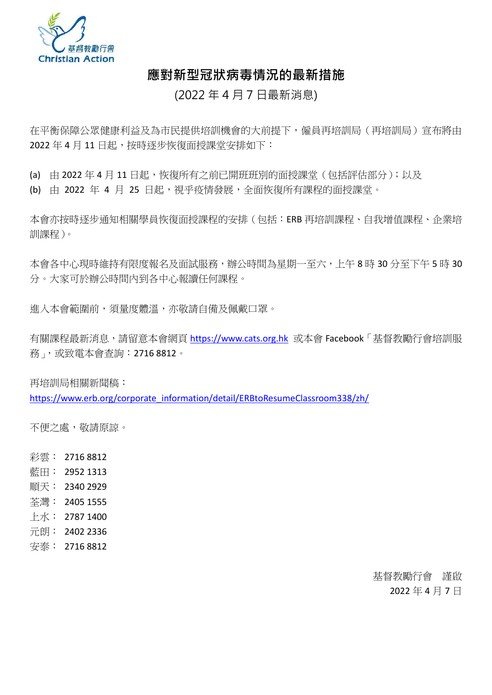

## **應對新型冠狀病毒情況的最新措施**

(2022 年 4 月 7 日最新消息)

在平衡保障公眾健康利益及為市民提供培訓機會的大前提下,僱員再培訓局(再培訓局)宣布將由 2022年4月11日起,按時逐步恢復面授課堂安排如下:

(a) 由 2022 年 4 月 11 日起,恢復所有之前已開班班別的面授課堂(包括評估部分);以及

(b) 由 2022 年 4 月 25 日起,視乎疫情發展,全面恢復所有課程的面授課堂。

本會亦按時逐步通知相關學員恢復面授課程的安排(包括:ERB 再培訓課程、自我增值課程、企業培 訓課程)。

本會各中心現時維持有限度報名及面試服務,辦公時間為星期一至六,上午 8 時 30 分至下午 5 時 30 分。大家可於辦公時間內到各中心報讀任何課程。

進入本會範圍前,須量度體溫,亦敬請自備及佩戴口罩。

有關課程最新消息,請留意本會網頁 [https://www.cats.org.hk](https://www.cats.org.hk/) 或本會 Facebook「基督教勵行會培訓服 務」,或致電本會查詢: 2716 8812。

再培訓局相關新聞稿:

[https://www.erb.org/corporate\\_information/detail/ERBtoResumeClassroom338/zh/](https://www.erb.org/corporate_information/detail/ERBtoResumeClassroom338/zh/)

不便之處,敬請原諒。

> 基督教勵行會 謹啟 2022 年 4 月 7 日